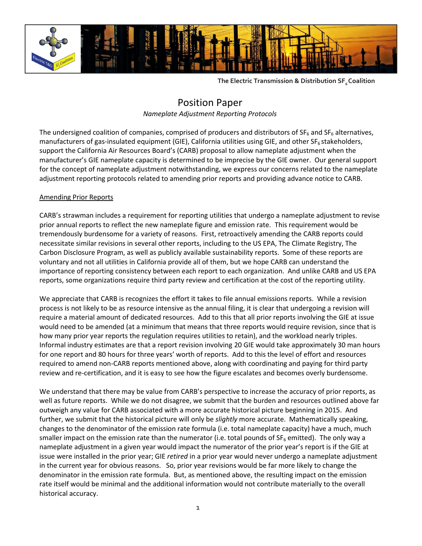

**The Electric Transmission & Distribution SF6 Coalition**

# Position Paper

*Nameplate Adjustment Reporting Protocols* 

The undersigned coalition of companies, comprised of producers and distributors of  $SF<sub>6</sub>$  and  $SF<sub>6</sub>$  alternatives, manufacturers of gas-insulated equipment (GIE), California utilities using GIE, and other SF<sub>6</sub> stakeholders, support the California Air Resources Board's (CARB) proposal to allow nameplate adjustment when the manufacturer's GIE nameplate capacity is determined to be imprecise by the GIE owner. Our general support for the concept of nameplate adjustment notwithstanding, we express our concerns related to the nameplate adjustment reporting protocols related to amending prior reports and providing advance notice to CARB.

## Amending Prior Reports

CARB's strawman includes a requirement for reporting utilities that undergo a nameplate adjustment to revise prior annual reports to reflect the new nameplate figure and emission rate. This requirement would be tremendously burdensome for a variety of reasons. First, retroactively amending the CARB reports could necessitate similar revisions in several other reports, including to the US EPA, The Climate Registry, The Carbon Disclosure Program, as well as publicly available sustainability reports. Some of these reports are voluntary and not all utilities in California provide all of them, but we hope CARB can understand the importance of reporting consistency between each report to each organization. And unlike CARB and US EPA reports, some organizations require third party review and certification at the cost of the reporting utility.

We appreciate that CARB is recognizes the effort it takes to file annual emissions reports. While a revision process is not likely to be as resource intensive as the annual filing, it is clear that undergoing a revision will require a material amount of dedicated resources. Add to this that all prior reports involving the GIE at issue would need to be amended (at a minimum that means that three reports would require revision, since that is how many prior year reports the regulation requires utilities to retain), and the workload nearly triples. Informal industry estimates are that a report revision involving 20 GIE would take approximately 30 man hours for one report and 80 hours for three years' worth of reports. Add to this the level of effort and resources required to amend non-CARB reports mentioned above, along with coordinating and paying for third party review and re-certification, and it is easy to see how the figure escalates and becomes overly burdensome.

We understand that there may be value from CARB's perspective to increase the accuracy of prior reports, as well as future reports. While we do not disagree, we submit that the burden and resources outlined above far outweigh any value for CARB associated with a more accurate historical picture beginning in 2015. And further, we submit that the historical picture will only be *slightly* more accurate. Mathematically speaking, changes to the denominator of the emission rate formula (i.e. total nameplate capacity) have a much, much smaller impact on the emission rate than the numerator (i.e. total pounds of  $SF<sub>6</sub>$  emitted). The only way a nameplate adjustment in a given year would impact the numerator of the prior year's report is if the GIE at issue were installed in the prior year; GIE *retired* in a prior year would never undergo a nameplate adjustment in the current year for obvious reasons. So, prior year revisions would be far more likely to change the denominator in the emission rate formula. But, as mentioned above, the resulting impact on the emission rate itself would be minimal and the additional information would not contribute materially to the overall historical accuracy.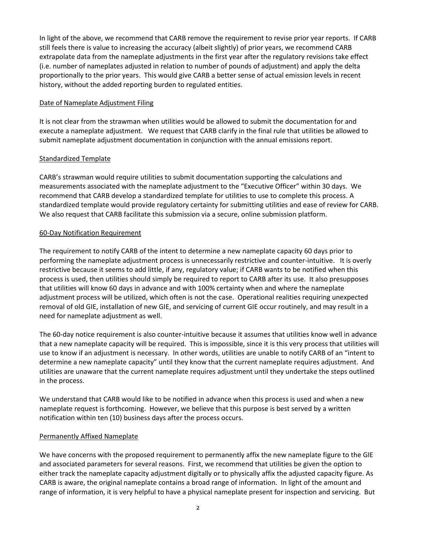In light of the above, we recommend that CARB remove the requirement to revise prior year reports. If CARB still feels there is value to increasing the accuracy (albeit slightly) of prior years, we recommend CARB extrapolate data from the nameplate adjustments in the first year after the regulatory revisions take effect (i.e. number of nameplates adjusted in relation to number of pounds of adjustment) and apply the delta proportionally to the prior years. This would give CARB a better sense of actual emission levels in recent history, without the added reporting burden to regulated entities.

### Date of Nameplate Adjustment Filing

It is not clear from the strawman when utilities would be allowed to submit the documentation for and execute a nameplate adjustment. We request that CARB clarify in the final rule that utilities be allowed to submit nameplate adjustment documentation in conjunction with the annual emissions report.

## Standardized Template

CARB's strawman would require utilities to submit documentation supporting the calculations and measurements associated with the nameplate adjustment to the "Executive Officer" within 30 days. We recommend that CARB develop a standardized template for utilities to use to complete this process. A standardized template would provide regulatory certainty for submitting utilities and ease of review for CARB. We also request that CARB facilitate this submission via a secure, online submission platform.

## 60-Day Notification Requirement

The requirement to notify CARB of the intent to determine a new nameplate capacity 60 days prior to performing the nameplate adjustment process is unnecessarily restrictive and counter-intuitive. It is overly restrictive because it seems to add little, if any, regulatory value; if CARB wants to be notified when this process is used, then utilities should simply be required to report to CARB after its use. It also presupposes that utilities will know 60 days in advance and with 100% certainty when and where the nameplate adjustment process will be utilized, which often is not the case. Operational realities requiring unexpected removal of old GIE, installation of new GIE, and servicing of current GIE occur routinely, and may result in a need for nameplate adjustment as well.

The 60-day notice requirement is also counter-intuitive because it assumes that utilities know well in advance that a new nameplate capacity will be required. This is impossible, since it is this very process that utilities will use to know if an adjustment is necessary. In other words, utilities are unable to notify CARB of an "intent to determine a new nameplate capacity" until they know that the current nameplate requires adjustment. And utilities are unaware that the current nameplate requires adjustment until they undertake the steps outlined in the process.

We understand that CARB would like to be notified in advance when this process is used and when a new nameplate request is forthcoming. However, we believe that this purpose is best served by a written notification within ten (10) business days after the process occurs.

### Permanently Affixed Nameplate

We have concerns with the proposed requirement to permanently affix the new nameplate figure to the GIE and associated parameters for several reasons. First, we recommend that utilities be given the option to either track the nameplate capacity adjustment digitally or to physically affix the adjusted capacity figure. As CARB is aware, the original nameplate contains a broad range of information. In light of the amount and range of information, it is very helpful to have a physical nameplate present for inspection and servicing. But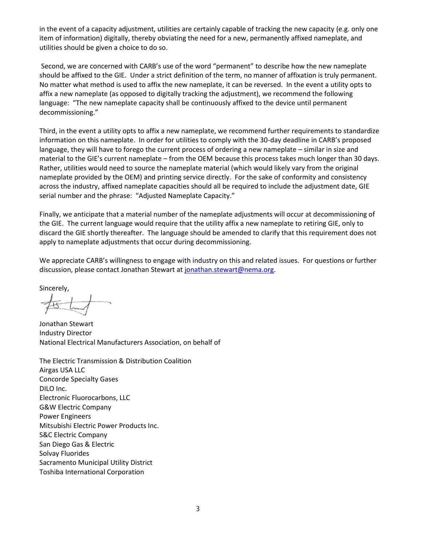in the event of a capacity adjustment, utilities are certainly capable of tracking the new capacity (e.g. only one item of information) digitally, thereby obviating the need for a new, permanently affixed nameplate, and utilities should be given a choice to do so.

Second, we are concerned with CARB's use of the word "permanent" to describe how the new nameplate should be affixed to the GIE. Under a strict definition of the term, no manner of affixation is truly permanent. No matter what method is used to affix the new nameplate, it can be reversed. In the event a utility opts to affix a new nameplate (as opposed to digitally tracking the adjustment), we recommend the following language: "The new nameplate capacity shall be continuously affixed to the device until permanent decommissioning."

Third, in the event a utility opts to affix a new nameplate, we recommend further requirements to standardize information on this nameplate. In order for utilities to comply with the 30-day deadline in CARB's proposed language, they will have to forego the current process of ordering a new nameplate – similar in size and material to the GIE's current nameplate – from the OEM because this process takes much longer than 30 days. Rather, utilities would need to source the nameplate material (which would likely vary from the original nameplate provided by the OEM) and printing service directly. For the sake of conformity and consistency across the industry, affixed nameplate capacities should all be required to include the adjustment date, GIE serial number and the phrase: "Adjusted Nameplate Capacity."

Finally, we anticipate that a material number of the nameplate adjustments will occur at decommissioning of the GIE. The current language would require that the utility affix a new nameplate to retiring GIE, only to discard the GIE shortly thereafter. The language should be amended to clarify that this requirement does not apply to nameplate adjustments that occur during decommissioning.

We appreciate CARB's willingness to engage with industry on this and related issues. For questions or further discussion, please contact Jonathan Stewart a[t jonathan.stewart@nema.org.](mailto:jonathan.stewart@nema.org)

Sincerely,

Jonathan Stewart Industry Director National Electrical Manufacturers Association, on behalf of

The Electric Transmission & Distribution Coalition Airgas USA LLC Concorde Specialty Gases DILO Inc. Electronic Fluorocarbons, LLC G&W Electric Company Power Engineers Mitsubishi Electric Power Products Inc. S&C Electric Company San Diego Gas & Electric Solvay Fluorides Sacramento Municipal Utility District Toshiba International Corporation